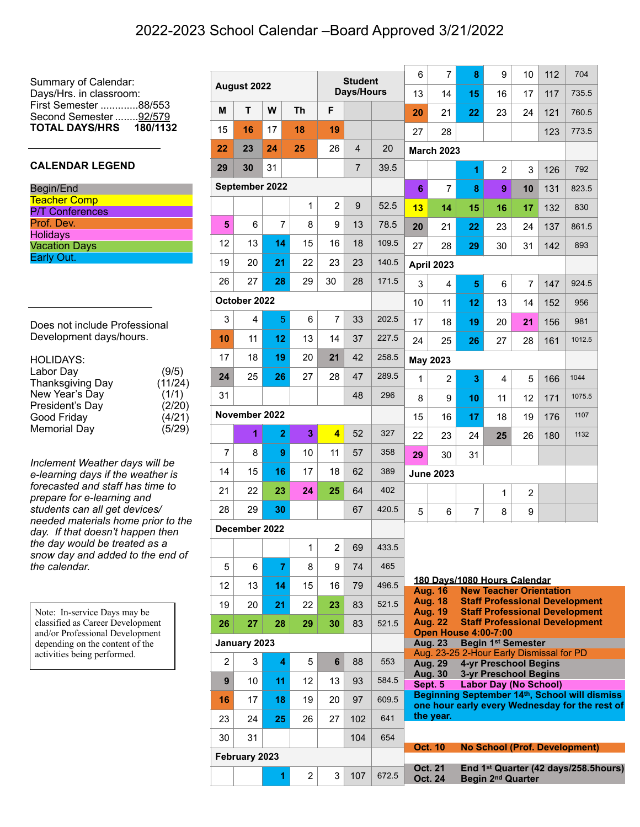Summary of Calendar: Days/Hrs. in classroom: First Semester .............88/553 Second Semester ........ 92/579 **TOTAL DAYS/HRS 180/1132**

## **CALENDAR LEGEND**

| Begin/End              |  |
|------------------------|--|
| <b>Teacher Comp</b>    |  |
| <b>P/T</b> Conferences |  |
| Prof. Dev.             |  |
| <b>Holidays</b>        |  |
| <b>Vacation Days</b>   |  |
| Early Out.             |  |

Does not include Professional Development days/hours.

| <b>HOLIDAYS:</b>        |         |
|-------------------------|---------|
| Labor Day               | (9/5)   |
| <b>Thanksgiving Day</b> | (11/24) |
| New Year's Day          | (1/1)   |
| President's Day         | (2/20)  |
| Good Friday             | (4/21)  |
| <b>Memorial Day</b>     | (5/29)  |

*Inclement Weather days will be e-learning days if the weather is forecasted and staff has time to prepare for e-learning and students can all get devices/ needed materials home prior to the day. If that doesn't happen then the day would be treated as a snow day and added to the end of the calendar.*

Note: In-service Days may be classified as Career Development and/or Professional Development depending on the content of the activities being performed.

| August 2022    |                |                | <b>Student</b> |                         |                | 6     | $\overline{7}$ | 8                                                          | 9              | 10                                                           | 112            | 704                                  |                                                                                                 |
|----------------|----------------|----------------|----------------|-------------------------|----------------|-------|----------------|------------------------------------------------------------|----------------|--------------------------------------------------------------|----------------|--------------------------------------|-------------------------------------------------------------------------------------------------|
| Days/Hours     |                |                |                | 13                      | 14             | 15    | 16             | 17                                                         | 117            | 735.5                                                        |                |                                      |                                                                                                 |
| M              | T.             | W              | <b>Th</b>      | F                       |                |       | 20             | 21                                                         | 22             | 23                                                           | 24             | 121                                  | 760.5                                                                                           |
| 15             | 16             | 17             | 18             | 19                      |                |       | 27             | 28                                                         |                |                                                              |                | 123                                  | 773.5                                                                                           |
| 22             | 23             | 24             | 25             | 26                      | $\overline{4}$ | 20    |                | <b>March 2023</b>                                          |                |                                                              |                |                                      |                                                                                                 |
| 29             | 30             | 31             |                |                         | 7              | 39.5  |                |                                                            | $\overline{1}$ | $\overline{2}$                                               | 3              | 126                                  | 792                                                                                             |
|                | September 2022 |                |                |                         |                |       | 6              | $\overline{7}$                                             | 8              | 9                                                            | 10             | 131                                  | 823.5                                                                                           |
|                |                |                | 1              | $\overline{2}$          | 9              | 52.5  | 13             | 14                                                         | 15             | 16                                                           | 17             | 132                                  | 830                                                                                             |
| 5              | 6              | $\overline{7}$ | 8              | 9                       | 13             | 78.5  | 20             | 21                                                         | 22             | 23                                                           | 24             | 137                                  | 861.5                                                                                           |
| 12             | 13             | 14             | 15             | 16                      | 18             | 109.5 | 27             | 28                                                         | 29             | 30                                                           | 31             | 142                                  | 893                                                                                             |
| 19             | 20             | 21             | 22             | 23                      | 23             | 140.5 |                | <b>April 2023</b>                                          |                |                                                              |                |                                      |                                                                                                 |
| 26             | 27             | 28             | 29             | 30                      | 28             | 171.5 | 3              | 4                                                          | 5              | 6                                                            | $\overline{7}$ | 147                                  | 924.5                                                                                           |
|                | October 2022   |                |                |                         |                |       | 10             | 11                                                         | 12             | 13                                                           | 14             | 152                                  | 956                                                                                             |
| 3              | $\overline{4}$ | 5              | 6              | $\overline{7}$          | 33             | 202.5 | 17             | 18                                                         | 19             | 20                                                           | 21             | 156                                  | 981                                                                                             |
| 10             | 11             | 12             | 13             | 14                      | 37             | 227.5 | 24             | 25                                                         | 26             | 27                                                           | 28             | 161                                  | 1012.5                                                                                          |
| 17             | 18             | 19             | 20             | 21                      | 42             | 258.5 |                | <b>May 2023</b>                                            |                |                                                              |                |                                      |                                                                                                 |
| 24             | 25             | 26             | 27             | 28                      | 47             | 289.5 | $\mathbf{1}$   | $\overline{2}$                                             | 3              | 4                                                            | 5              | 166                                  | 1044                                                                                            |
| 31             |                |                |                |                         | 48             | 296   | 8              | 9                                                          | 10             | 11                                                           | 12             | 171                                  | 1075.5                                                                                          |
| November 2022  |                |                |                | 15                      | 16             | 17    | 18             | 19                                                         | 176            | 1107                                                         |                |                                      |                                                                                                 |
|                | 1              | $\overline{2}$ | 3              | $\overline{\mathbf{4}}$ | 52             | 327   | 22             | 23                                                         | 24             | 25                                                           | 26             | 180                                  | 1132                                                                                            |
| $\overline{7}$ | 8              | 9              | 10             | 11                      | 57             | 358   | 29             | 30                                                         | 31             |                                                              |                |                                      |                                                                                                 |
| 14             | 15             | 16             | 17             | 18                      | 62             | 389   |                | <b>June 2023</b>                                           |                |                                                              |                |                                      |                                                                                                 |
| 21             | 22             | 23             | 24             | 25                      | 64             | 402   |                |                                                            |                | $\mathbf{1}$                                                 | $\overline{2}$ |                                      |                                                                                                 |
| 28             | 29             | 30             |                |                         | 67             | 420.5 | 5              | 6                                                          | $\overline{7}$ | 8                                                            | 9              |                                      |                                                                                                 |
|                | December 2022  |                |                |                         |                |       |                |                                                            |                |                                                              |                |                                      |                                                                                                 |
|                |                |                | 1              | $\overline{2}$          | 69             | 433.5 |                |                                                            |                |                                                              |                |                                      |                                                                                                 |
| 5              | 6              | $\overline{7}$ | 8              | 9                       | 74             | 465   |                |                                                            |                |                                                              |                |                                      |                                                                                                 |
| 12             | 13             | 14             | 15             | 16                      | 79             | 496.5 |                | 180 Days/1080 Hours Calendar<br><b>Aug. 16</b>             |                | <b>New Teacher Orientation</b>                               |                |                                      |                                                                                                 |
| 19             | 20             | 21             | 22             | 23                      | 83             | 521.5 |                | <b>Aug. 18</b>                                             |                |                                                              |                |                                      | <b>Staff Professional Development</b>                                                           |
| 26             | 27             | 28             | 29             | 30                      | 83             | 521.5 |                | <b>Aug. 19</b><br><b>Aug. 22</b>                           |                |                                                              |                |                                      | <b>Staff Professional Development</b><br><b>Staff Professional Development</b>                  |
| January 2023   |                |                |                |                         |                |       |                | <b>Open House 4:00-7:00</b><br><b>Aug. 23</b>              |                | <b>Begin 1st Semester</b>                                    |                |                                      |                                                                                                 |
| $\overline{2}$ | 3              | 4              | 5              | 6                       | 88             | 553   |                | Aug. 23-25 2-Hour Early Dismissal for PD<br><b>Aug. 29</b> |                | <b>4-yr Preschool Begins</b>                                 |                |                                      |                                                                                                 |
| 9              | 10             | 11             | 12             | 13                      | 93             | 584.5 |                | <b>Aug. 30</b><br>Sept. 5                                  |                | <b>3-yr Preschool Begins</b><br><b>Labor Day (No School)</b> |                |                                      |                                                                                                 |
| 16             | 17             | 18             | 19             | 20                      | 97             | 609.5 |                |                                                            |                |                                                              |                |                                      | Beginning September 14th, School will dismiss<br>one hour early every Wednesday for the rest of |
| 23             | 24             | 25             | 26             | 27                      | 102            | 641   |                | the year.                                                  |                |                                                              |                |                                      |                                                                                                 |
| 30             | 31             |                |                |                         | 104            | 654   |                |                                                            |                |                                                              |                |                                      |                                                                                                 |
| February 2023  |                |                |                |                         |                |       | <b>Oct. 10</b> |                                                            |                |                                                              |                | <b>No School (Prof. Development)</b> |                                                                                                 |
|                |                | 1              | $\overline{2}$ | 3                       | 107            | 672.5 |                | <b>Oct. 21</b><br><b>Oct. 24</b>                           |                | Begin 2 <sup>nd</sup> Quarter                                |                |                                      | End 1 <sup>st</sup> Quarter (42 days/258.5hours)                                                |